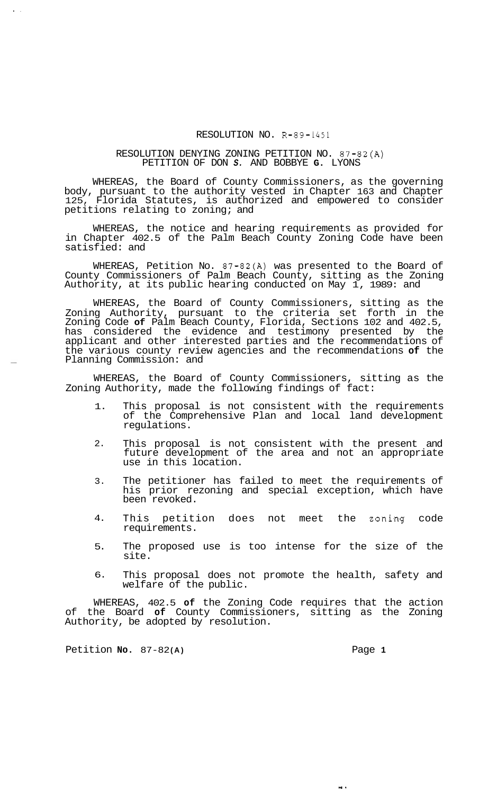## RESOLUTION NO. R-89-1451

## RESOLUTION DENYING ZONING PETITION NO. 87-82(A) PETITION OF DON *S.* AND BOBBYE **G.** LYONS

WHEREAS, the Board of County Commissioners, as the governing body, pursuant to the authority vested in Chapter 163 and Chapter 125, Florida Statutes, is authorized and empowered to consider petitions relating to zoning; and

WHEREAS, the notice and hearing requirements as provided for in Chapter 402.5 of the Palm Beach County Zoning Code have been satisfied: and

WHEREAS, Petition No. 87-82(A) was presented to the Board of County Commissioners of Palm Beach County, sitting as the Zoning Authority, at its public hearing conducted on May 1, 1989: and

WHEREAS, the Board of County Commissioners, sitting as the Zoning Authority, pursuant to the criteria set forth in the Zoning Code **of** Palm Beach County, Florida, Sections 102 and 402.5, has considered the evidence and testimony presented by the applicant and other interested parties and the recommendations of the various county review agencies and the recommendations **of** the Planning Commission: and

WHEREAS, the Board of County Commissioners, sitting as the Zoning Authority, made the following findings of fact:

- 1. This proposal is not consistent with the requirements of the Comprehensive Plan and local land development regulations.
- 2. This proposal is not consistent with the present and future development of the area and not an appropriate use in this location.
- 3. The petitioner has failed to meet the requirements of his prior rezoning and special exception, which have been revoked.
- 4. This petition does not meet the zoning code requirements.
- 5. The proposed use is too intense for the size of the site.
- 6. This proposal does not promote the health, safety and welfare of the public.

WHEREAS, 402.5 **of** the Zoning Code requires that the action of the Board **of** County Commissioners, sitting as the Zoning Authority, be adopted by resolution.

Petition **No.** 87-82 **(A)** Page **1** 

**I.** 

 $<sup>1</sup>$ </sup>